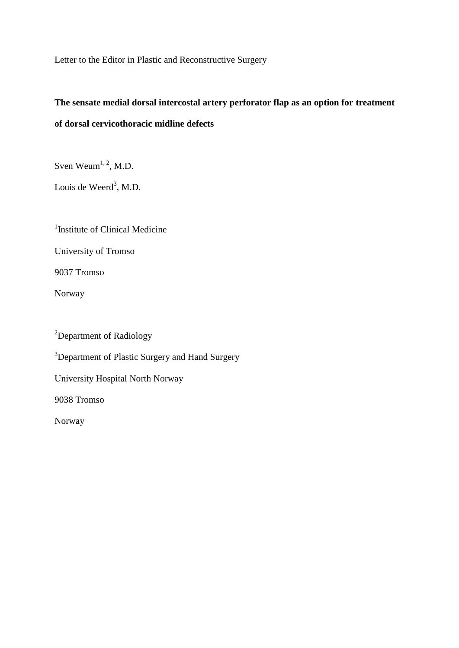Letter to the Editor in Plastic and Reconstructive Surgery

# **The sensate medial dorsal intercostal artery perforator flap as an option for treatment of dorsal cervicothoracic midline defects**

Sven Weum $^{1, 2}$ , M.D.

Louis de Weerd<sup>3</sup>, M.D.

<sup>1</sup>Institute of Clinical Medicine

University of Tromso

9037 Tromso

Norway

<sup>2</sup>Department of Radiology <sup>3</sup>Department of Plastic Surgery and Hand Surgery University Hospital North Norway 9038 Tromso Norway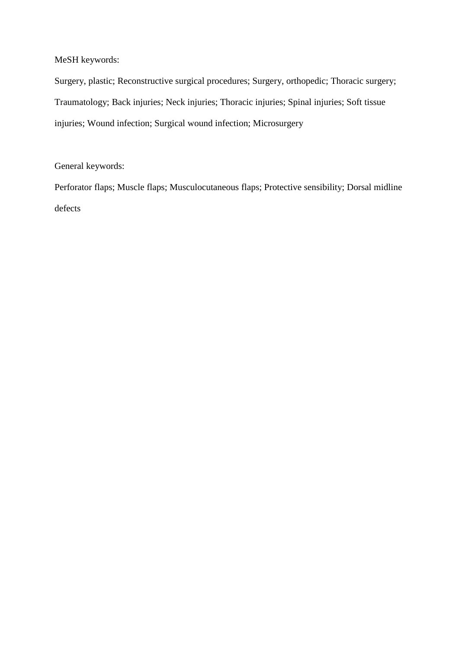MeSH keywords:

Surgery, plastic; Reconstructive surgical procedures; Surgery, orthopedic; Thoracic surgery; Traumatology; Back injuries; Neck injuries; Thoracic injuries; Spinal injuries; Soft tissue injuries; Wound infection; Surgical wound infection; Microsurgery

General keywords:

Perforator flaps; Muscle flaps; Musculocutaneous flaps; Protective sensibility; Dorsal midline defects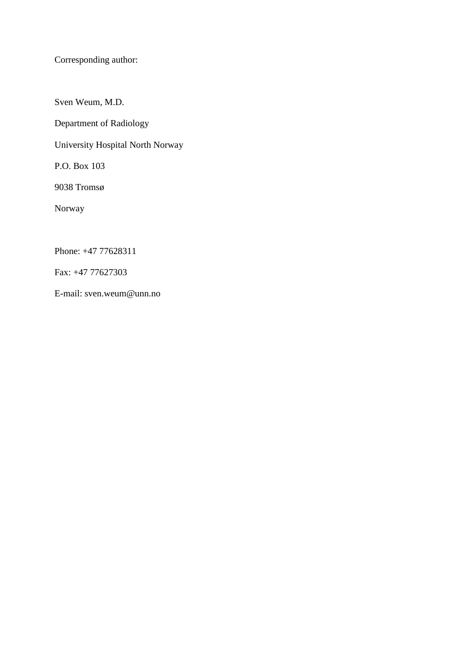Corresponding author:

Sven Weum, M.D.

Department of Radiology

University Hospital North Norway

P.O. Box 103

9038 Tromsø

Norway

Phone: +47 77628311

Fax: +47 77627303

E-mail: sven.weum@unn.no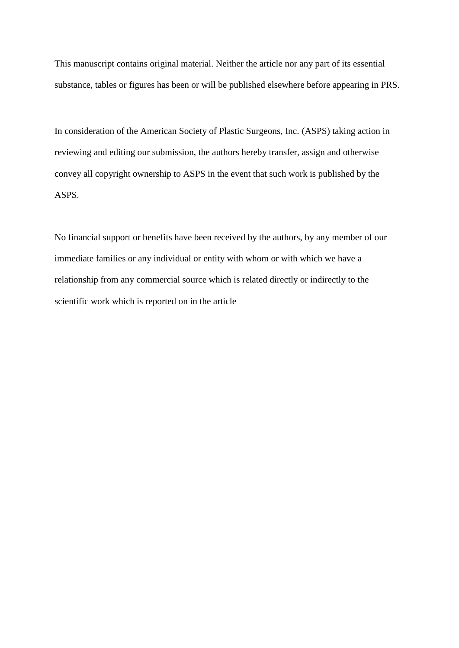This manuscript contains original material. Neither the article nor any part of its essential substance, tables or figures has been or will be published elsewhere before appearing in PRS.

In consideration of the American Society of Plastic Surgeons, Inc. (ASPS) taking action in reviewing and editing our submission, the authors hereby transfer, assign and otherwise convey all copyright ownership to ASPS in the event that such work is published by the ASPS.

No financial support or benefits have been received by the authors, by any member of our immediate families or any individual or entity with whom or with which we have a relationship from any commercial source which is related directly or indirectly to the scientific work which is reported on in the article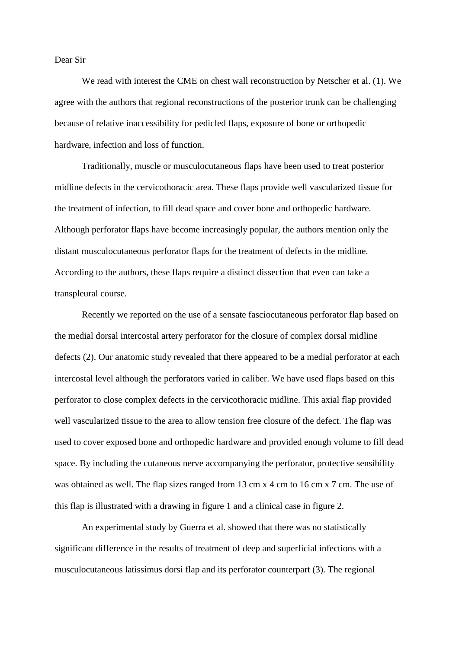#### Dear Sir

We read with interest the CME on chest wall reconstruction by Netscher et al. (1). We agree with the authors that regional reconstructions of the posterior trunk can be challenging because of relative inaccessibility for pedicled flaps, exposure of bone or orthopedic hardware, infection and loss of function.

Traditionally, muscle or musculocutaneous flaps have been used to treat posterior midline defects in the cervicothoracic area. These flaps provide well vascularized tissue for the treatment of infection, to fill dead space and cover bone and orthopedic hardware. Although perforator flaps have become increasingly popular, the authors mention only the distant musculocutaneous perforator flaps for the treatment of defects in the midline. According to the authors, these flaps require a distinct dissection that even can take a transpleural course.

Recently we reported on the use of a sensate fasciocutaneous perforator flap based on the medial dorsal intercostal artery perforator for the closure of complex dorsal midline defects (2). Our anatomic study revealed that there appeared to be a medial perforator at each intercostal level although the perforators varied in caliber. We have used flaps based on this perforator to close complex defects in the cervicothoracic midline. This axial flap provided well vascularized tissue to the area to allow tension free closure of the defect. The flap was used to cover exposed bone and orthopedic hardware and provided enough volume to fill dead space. By including the cutaneous nerve accompanying the perforator, protective sensibility was obtained as well. The flap sizes ranged from 13 cm x 4 cm to 16 cm x 7 cm. The use of this flap is illustrated with a drawing in figure 1 and a clinical case in figure 2.

An experimental study by Guerra et al. showed that there was no statistically significant difference in the results of treatment of deep and superficial infections with a musculocutaneous latissimus dorsi flap and its perforator counterpart (3). The regional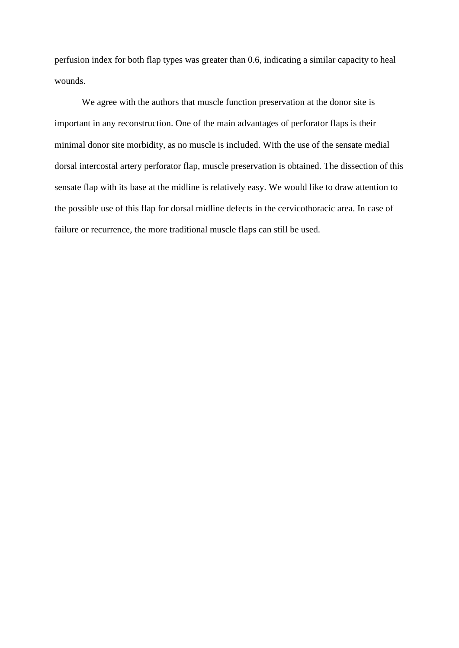perfusion index for both flap types was greater than 0.6, indicating a similar capacity to heal wounds.

We agree with the authors that muscle function preservation at the donor site is important in any reconstruction. One of the main advantages of perforator flaps is their minimal donor site morbidity, as no muscle is included. With the use of the sensate medial dorsal intercostal artery perforator flap, muscle preservation is obtained. The dissection of this sensate flap with its base at the midline is relatively easy. We would like to draw attention to the possible use of this flap for dorsal midline defects in the cervicothoracic area. In case of failure or recurrence, the more traditional muscle flaps can still be used.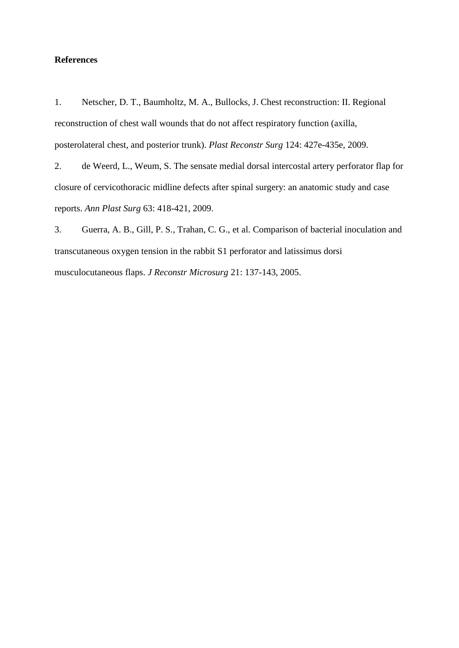#### **References**

1. Netscher, D. T., Baumholtz, M. A., Bullocks, J. Chest reconstruction: II. Regional reconstruction of chest wall wounds that do not affect respiratory function (axilla, posterolateral chest, and posterior trunk). *Plast Reconstr Surg* 124: 427e-435e, 2009.

2. de Weerd, L., Weum, S. The sensate medial dorsal intercostal artery perforator flap for closure of cervicothoracic midline defects after spinal surgery: an anatomic study and case reports. *Ann Plast Surg* 63: 418-421, 2009.

3. Guerra, A. B., Gill, P. S., Trahan, C. G., et al. Comparison of bacterial inoculation and transcutaneous oxygen tension in the rabbit S1 perforator and latissimus dorsi musculocutaneous flaps. *J Reconstr Microsurg* 21: 137-143, 2005.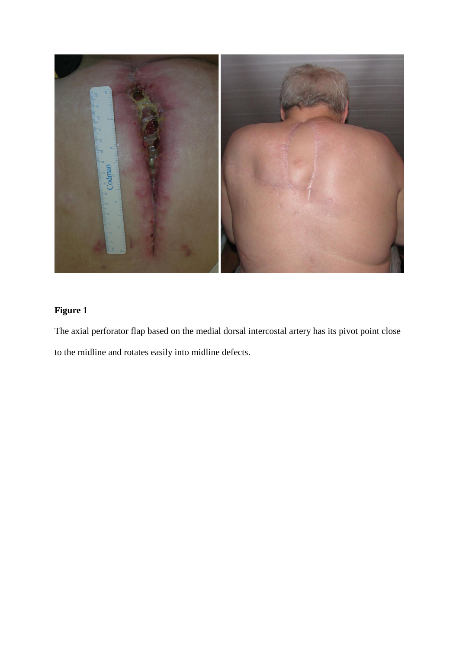

## **Figure 1**

The axial perforator flap based on the medial dorsal intercostal artery has its pivot point close to the midline and rotates easily into midline defects.